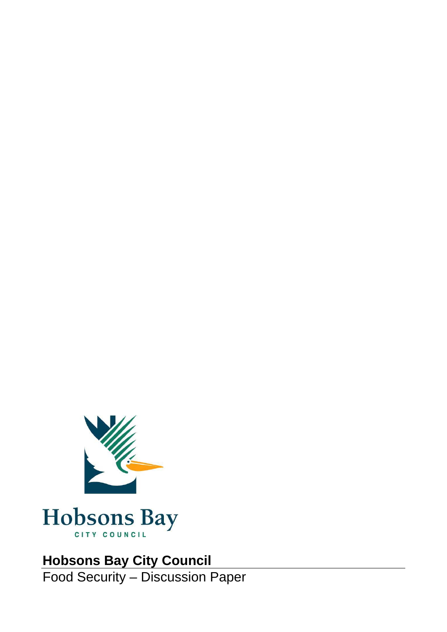



### **Hobsons Bay City Council**

Food Security – Discussion Paper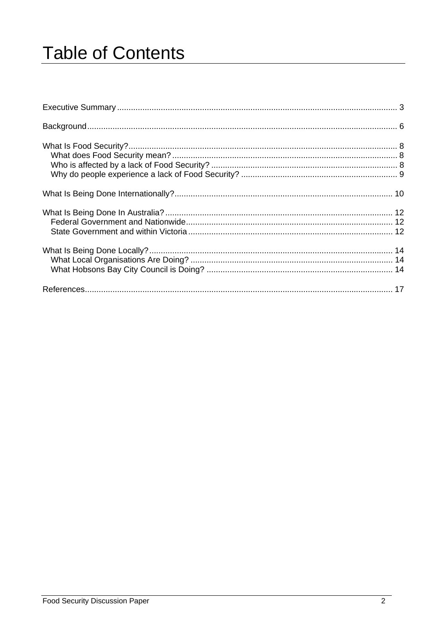# **Table of Contents**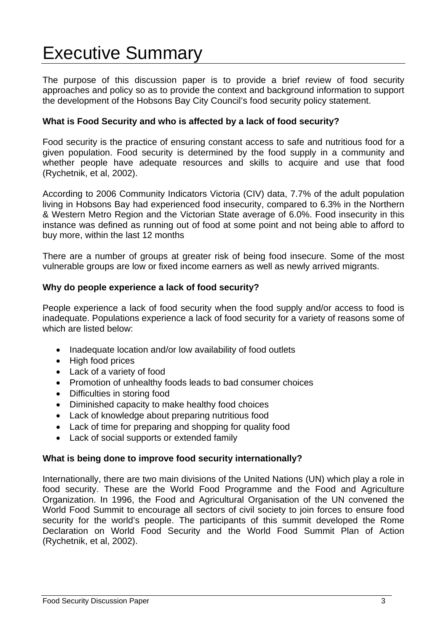### Executive Summary

The purpose of this discussion paper is to provide a brief review of food security approaches and policy so as to provide the context and background information to support the development of the Hobsons Bay City Council's food security policy statement.

#### **What is Food Security and who is affected by a lack of food security?**

Food security is the practice of ensuring constant access to safe and nutritious food for a given population. Food security is determined by the food supply in a community and whether people have adequate resources and skills to acquire and use that food (Rychetnik, et al, 2002).

According to 2006 Community Indicators Victoria (CIV) data, 7.7% of the adult population living in Hobsons Bay had experienced food insecurity, compared to 6.3% in the Northern & Western Metro Region and the Victorian State average of 6.0%. Food insecurity in this instance was defined as running out of food at some point and not being able to afford to buy more, within the last 12 months

There are a number of groups at greater risk of being food insecure. Some of the most vulnerable groups are low or fixed income earners as well as newly arrived migrants.

#### **Why do people experience a lack of food security?**

People experience a lack of food security when the food supply and/or access to food is inadequate. Populations experience a lack of food security for a variety of reasons some of which are listed below:

- Inadequate location and/or low availability of food outlets
- High food prices
- Lack of a variety of food
- Promotion of unhealthy foods leads to bad consumer choices
- Difficulties in storing food
- Diminished capacity to make healthy food choices
- Lack of knowledge about preparing nutritious food
- Lack of time for preparing and shopping for quality food
- Lack of social supports or extended family

#### **What is being done to improve food security internationally?**

Internationally, there are two main divisions of the United Nations (UN) which play a role in food security. These are the World Food Programme and the Food and Agriculture Organization. In 1996, the Food and Agricultural Organisation of the UN convened the World Food Summit to encourage all sectors of civil society to join forces to ensure food security for the world's people. The participants of this summit developed the Rome Declaration on World Food Security and the World Food Summit Plan of Action (Rychetnik, et al, 2002).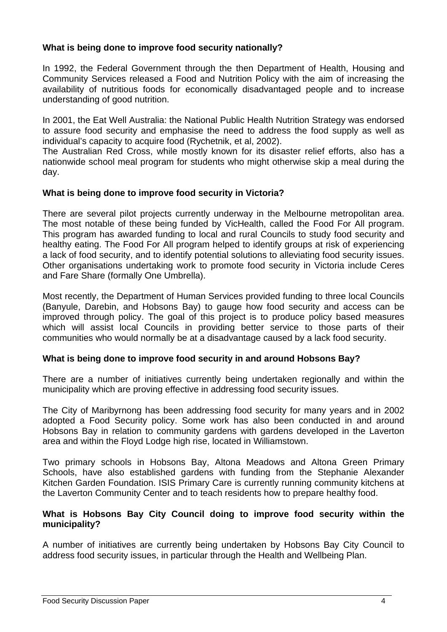#### **What is being done to improve food security nationally?**

In 1992, the Federal Government through the then Department of Health, Housing and Community Services released a Food and Nutrition Policy with the aim of increasing the availability of nutritious foods for economically disadvantaged people and to increase understanding of good nutrition.

In 2001, the Eat Well Australia: the National Public Health Nutrition Strategy was endorsed to assure food security and emphasise the need to address the food supply as well as individual's capacity to acquire food (Rychetnik, et al, 2002).

The Australian Red Cross, while mostly known for its disaster relief efforts, also has a nationwide school meal program for students who might otherwise skip a meal during the day.

#### **What is being done to improve food security in Victoria?**

There are several pilot projects currently underway in the Melbourne metropolitan area. The most notable of these being funded by VicHealth, called the Food For All program. This program has awarded funding to local and rural Councils to study food security and healthy eating. The Food For All program helped to identify groups at risk of experiencing a lack of food security, and to identify potential solutions to alleviating food security issues. Other organisations undertaking work to promote food security in Victoria include Ceres and Fare Share (formally One Umbrella).

Most recently, the Department of Human Services provided funding to three local Councils (Banyule, Darebin, and Hobsons Bay) to gauge how food security and access can be improved through policy. The goal of this project is to produce policy based measures which will assist local Councils in providing better service to those parts of their communities who would normally be at a disadvantage caused by a lack food security.

#### **What is being done to improve food security in and around Hobsons Bay?**

There are a number of initiatives currently being undertaken regionally and within the municipality which are proving effective in addressing food security issues.

The City of Maribyrnong has been addressing food security for many years and in 2002 adopted a Food Security policy. Some work has also been conducted in and around Hobsons Bay in relation to community gardens with gardens developed in the Laverton area and within the Floyd Lodge high rise, located in Williamstown.

Two primary schools in Hobsons Bay, Altona Meadows and Altona Green Primary Schools, have also established gardens with funding from the Stephanie Alexander Kitchen Garden Foundation. ISIS Primary Care is currently running community kitchens at the Laverton Community Center and to teach residents how to prepare healthy food.

#### **What is Hobsons Bay City Council doing to improve food security within the municipality?**

A number of initiatives are currently being undertaken by Hobsons Bay City Council to address food security issues, in particular through the Health and Wellbeing Plan.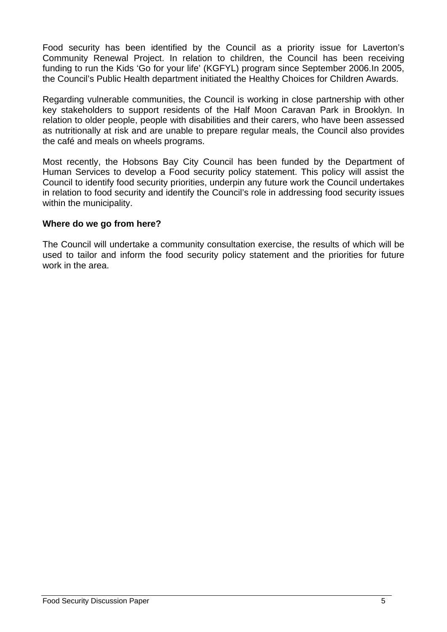Food security has been identified by the Council as a priority issue for Laverton's Community Renewal Project. In relation to children, the Council has been receiving funding to run the Kids 'Go for your life' (KGFYL) program since September 2006.In 2005, the Council's Public Health department initiated the Healthy Choices for Children Awards.

Regarding vulnerable communities, the Council is working in close partnership with other key stakeholders to support residents of the Half Moon Caravan Park in Brooklyn. In relation to older people, people with disabilities and their carers, who have been assessed as nutritionally at risk and are unable to prepare regular meals, the Council also provides the café and meals on wheels programs.

Most recently, the Hobsons Bay City Council has been funded by the Department of Human Services to develop a Food security policy statement. This policy will assist the Council to identify food security priorities, underpin any future work the Council undertakes in relation to food security and identify the Council's role in addressing food security issues within the municipality.

#### **Where do we go from here?**

The Council will undertake a community consultation exercise, the results of which will be used to tailor and inform the food security policy statement and the priorities for future work in the area.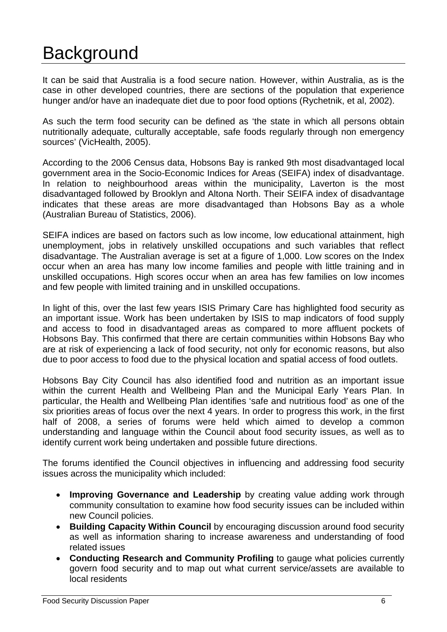### **Background**

It can be said that Australia is a food secure nation. However, within Australia, as is the case in other developed countries, there are sections of the population that experience hunger and/or have an inadequate diet due to poor food options (Rychetnik, et al, 2002).

As such the term food security can be defined as 'the state in which all persons obtain nutritionally adequate, culturally acceptable, safe foods regularly through non emergency sources' (VicHealth, 2005).

According to the 2006 Census data, Hobsons Bay is ranked 9th most disadvantaged local government area in the Socio-Economic Indices for Areas (SEIFA) index of disadvantage. In relation to neighbourhood areas within the municipality, Laverton is the most disadvantaged followed by Brooklyn and Altona North. Their SEIFA index of disadvantage indicates that these areas are more disadvantaged than Hobsons Bay as a whole (Australian Bureau of Statistics, 2006).

SEIFA indices are based on factors such as low income, low educational attainment, high unemployment, jobs in relatively unskilled occupations and such variables that reflect disadvantage. The Australian average is set at a figure of 1,000. Low scores on the Index occur when an area has many low income families and people with little training and in unskilled occupations. High scores occur when an area has few families on low incomes and few people with limited training and in unskilled occupations.

In light of this, over the last few years ISIS Primary Care has highlighted food security as an important issue. Work has been undertaken by ISIS to map indicators of food supply and access to food in disadvantaged areas as compared to more affluent pockets of Hobsons Bay. This confirmed that there are certain communities within Hobsons Bay who are at risk of experiencing a lack of food security, not only for economic reasons, but also due to poor access to food due to the physical location and spatial access of food outlets.

Hobsons Bay City Council has also identified food and nutrition as an important issue within the current Health and Wellbeing Plan and the Municipal Early Years Plan. In particular, the Health and Wellbeing Plan identifies 'safe and nutritious food' as one of the six priorities areas of focus over the next 4 years. In order to progress this work, in the first half of 2008, a series of forums were held which aimed to develop a common understanding and language within the Council about food security issues, as well as to identify current work being undertaken and possible future directions.

The forums identified the Council objectives in influencing and addressing food security issues across the municipality which included:

- **Improving Governance and Leadership** by creating value adding work through community consultation to examine how food security issues can be included within new Council policies.
- **Building Capacity Within Council** by encouraging discussion around food security as well as information sharing to increase awareness and understanding of food related issues
- **Conducting Research and Community Profiling** to gauge what policies currently govern food security and to map out what current service/assets are available to local residents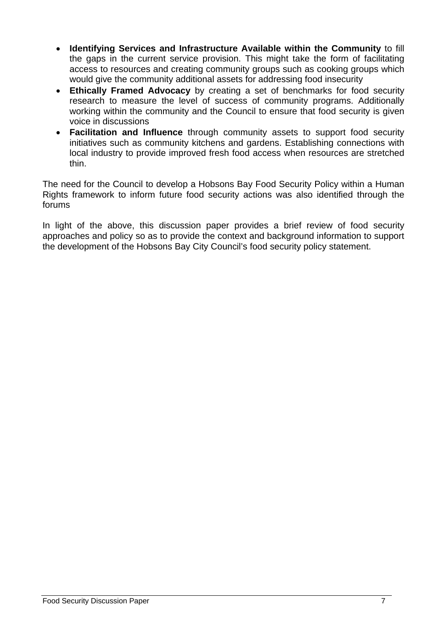- **Identifying Services and Infrastructure Available within the Community** to fill the gaps in the current service provision. This might take the form of facilitating access to resources and creating community groups such as cooking groups which would give the community additional assets for addressing food insecurity
- **Ethically Framed Advocacy** by creating a set of benchmarks for food security research to measure the level of success of community programs. Additionally working within the community and the Council to ensure that food security is given voice in discussions
- **Facilitation and Influence** through community assets to support food security initiatives such as community kitchens and gardens. Establishing connections with local industry to provide improved fresh food access when resources are stretched thin.

The need for the Council to develop a Hobsons Bay Food Security Policy within a Human Rights framework to inform future food security actions was also identified through the forums

In light of the above, this discussion paper provides a brief review of food security approaches and policy so as to provide the context and background information to support the development of the Hobsons Bay City Council's food security policy statement.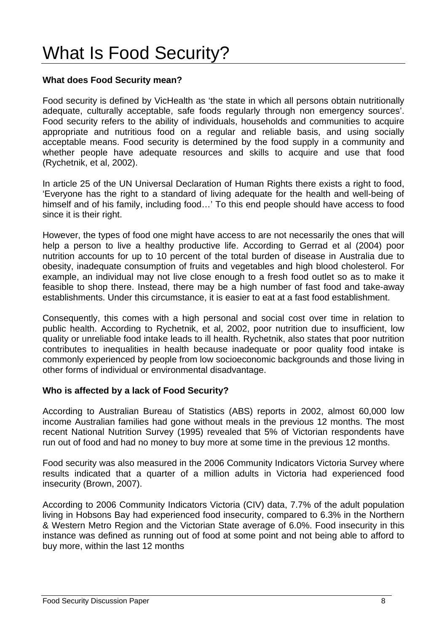## What Is Food Security?

#### **What does Food Security mean?**

Food security is defined by VicHealth as 'the state in which all persons obtain nutritionally adequate, culturally acceptable, safe foods regularly through non emergency sources'. Food security refers to the ability of individuals, households and communities to acquire appropriate and nutritious food on a regular and reliable basis, and using socially acceptable means. Food security is determined by the food supply in a community and whether people have adequate resources and skills to acquire and use that food (Rychetnik, et al, 2002).

In article 25 of the UN Universal Declaration of Human Rights there exists a right to food, 'Everyone has the right to a standard of living adequate for the health and well-being of himself and of his family, including food…' To this end people should have access to food since it is their right.

However, the types of food one might have access to are not necessarily the ones that will help a person to live a healthy productive life. According to Gerrad et al (2004) poor nutrition accounts for up to 10 percent of the total burden of disease in Australia due to obesity, inadequate consumption of fruits and vegetables and high blood cholesterol. For example, an individual may not live close enough to a fresh food outlet so as to make it feasible to shop there. Instead, there may be a high number of fast food and take-away establishments. Under this circumstance, it is easier to eat at a fast food establishment.

Consequently, this comes with a high personal and social cost over time in relation to public health. According to Rychetnik, et al, 2002, poor nutrition due to insufficient, low quality or unreliable food intake leads to ill health. Rychetnik, also states that poor nutrition contributes to inequalities in health because inadequate or poor quality food intake is commonly experienced by people from low socioeconomic backgrounds and those living in other forms of individual or environmental disadvantage.

#### **Who is affected by a lack of Food Security?**

According to Australian Bureau of Statistics (ABS) reports in 2002, almost 60,000 low income Australian families had gone without meals in the previous 12 months. The most recent National Nutrition Survey (1995) revealed that 5% of Victorian respondents have run out of food and had no money to buy more at some time in the previous 12 months.

Food security was also measured in the 2006 Community Indicators Victoria Survey where results indicated that a quarter of a million adults in Victoria had experienced food insecurity (Brown, 2007).

According to 2006 Community Indicators Victoria (CIV) data, 7.7% of the adult population living in Hobsons Bay had experienced food insecurity, compared to 6.3% in the Northern & Western Metro Region and the Victorian State average of 6.0%. Food insecurity in this instance was defined as running out of food at some point and not being able to afford to buy more, within the last 12 months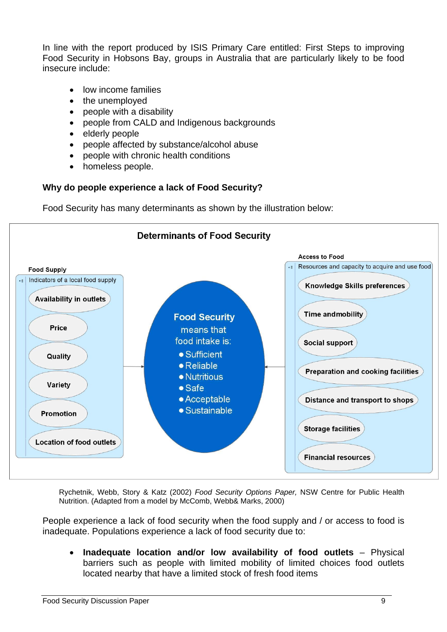In line with the report produced by ISIS Primary Care entitled: First Steps to improving Food Security in Hobsons Bay, groups in Australia that are particularly likely to be food insecure include:

- low income families
- the unemployed
- people with a disability
- people from CALD and Indigenous backgrounds
- elderly people
- people affected by substance/alcohol abuse
- people with chronic health conditions
- homeless people.

#### **Why do people experience a lack of Food Security?**

Food Security has many determinants as shown by the illustration below:



Rychetnik, Webb, Story & Katz (2002) *Food Security Options Paper,* NSW Centre for Public Health Nutrition. (Adapted from a model by McComb, Webb& Marks, 2000)

People experience a lack of food security when the food supply and / or access to food is inadequate. Populations experience a lack of food security due to:

• **Inadequate location and/or low availability of food outlets** – Physical barriers such as people with limited mobility of limited choices food outlets located nearby that have a limited stock of fresh food items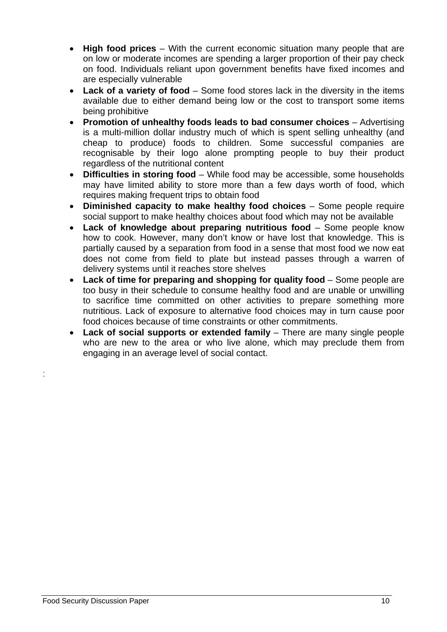- **High food prices** With the current economic situation many people that are on low or moderate incomes are spending a larger proportion of their pay check on food. Individuals reliant upon government benefits have fixed incomes and are especially vulnerable
- **Lack of a variety of food** Some food stores lack in the diversity in the items available due to either demand being low or the cost to transport some items being prohibitive
- **Promotion of unhealthy foods leads to bad consumer choices** Advertising is a multi-million dollar industry much of which is spent selling unhealthy (and cheap to produce) foods to children. Some successful companies are recognisable by their logo alone prompting people to buy their product regardless of the nutritional content
- **Difficulties in storing food** While food may be accessible, some households may have limited ability to store more than a few days worth of food, which requires making frequent trips to obtain food
- **Diminished capacity to make healthy food choices** Some people require social support to make healthy choices about food which may not be available
- **Lack of knowledge about preparing nutritious food** Some people know how to cook. However, many don't know or have lost that knowledge. This is partially caused by a separation from food in a sense that most food we now eat does not come from field to plate but instead passes through a warren of delivery systems until it reaches store shelves
- **Lack of time for preparing and shopping for quality food** Some people are too busy in their schedule to consume healthy food and are unable or unwilling to sacrifice time committed on other activities to prepare something more nutritious. Lack of exposure to alternative food choices may in turn cause poor food choices because of time constraints or other commitments.
- **Lack of social supports or extended family** There are many single people who are new to the area or who live alone, which may preclude them from engaging in an average level of social contact.

: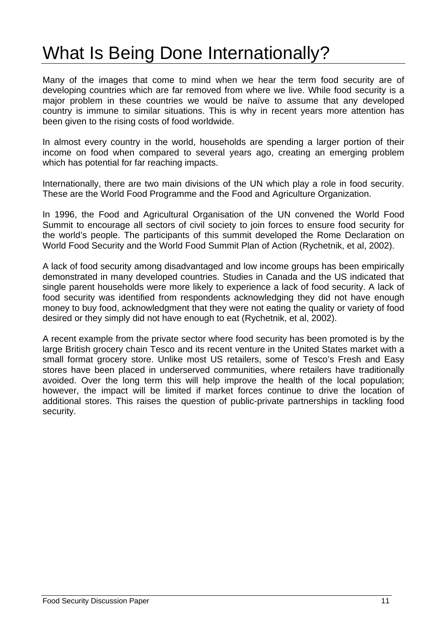### What Is Being Done Internationally?

Many of the images that come to mind when we hear the term food security are of developing countries which are far removed from where we live. While food security is a major problem in these countries we would be naïve to assume that any developed country is immune to similar situations. This is why in recent years more attention has been given to the rising costs of food worldwide.

In almost every country in the world, households are spending a larger portion of their income on food when compared to several years ago, creating an emerging problem which has potential for far reaching impacts.

Internationally, there are two main divisions of the UN which play a role in food security. These are the World Food Programme and the Food and Agriculture Organization.

In 1996, the Food and Agricultural Organisation of the UN convened the World Food Summit to encourage all sectors of civil society to join forces to ensure food security for the world's people. The participants of this summit developed the Rome Declaration on World Food Security and the World Food Summit Plan of Action (Rychetnik, et al, 2002).

A lack of food security among disadvantaged and low income groups has been empirically demonstrated in many developed countries. Studies in Canada and the US indicated that single parent households were more likely to experience a lack of food security. A lack of food security was identified from respondents acknowledging they did not have enough money to buy food, acknowledgment that they were not eating the quality or variety of food desired or they simply did not have enough to eat (Rychetnik, et al, 2002).

A recent example from the private sector where food security has been promoted is by the large British grocery chain Tesco and its recent venture in the United States market with a small format grocery store. Unlike most US retailers, some of Tesco's Fresh and Easy stores have been placed in underserved communities, where retailers have traditionally avoided. Over the long term this will help improve the health of the local population; however, the impact will be limited if market forces continue to drive the location of additional stores. This raises the question of public-private partnerships in tackling food security.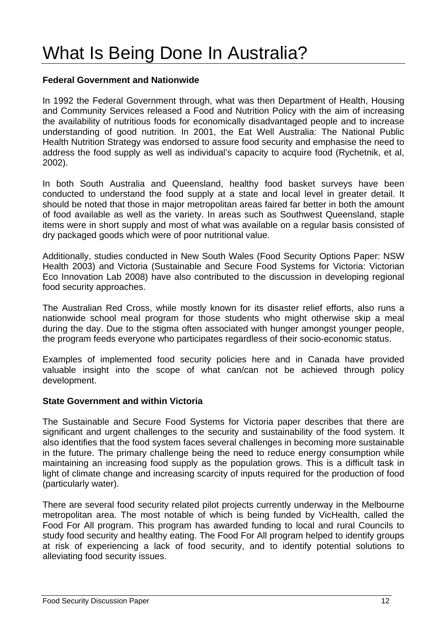## What Is Being Done In Australia?

#### **Federal Government and Nationwide**

In 1992 the Federal Government through, what was then Department of Health, Housing and Community Services released a Food and Nutrition Policy with the aim of increasing the availability of nutritious foods for economically disadvantaged people and to increase understanding of good nutrition. In 2001, the Eat Well Australia: The National Public Health Nutrition Strategy was endorsed to assure food security and emphasise the need to address the food supply as well as individual's capacity to acquire food (Rychetnik, et al, 2002).

In both South Australia and Queensland, healthy food basket surveys have been conducted to understand the food supply at a state and local level in greater detail. It should be noted that those in major metropolitan areas faired far better in both the amount of food available as well as the variety. In areas such as Southwest Queensland, staple items were in short supply and most of what was available on a regular basis consisted of dry packaged goods which were of poor nutritional value.

Additionally, studies conducted in New South Wales (Food Security Options Paper: NSW Health 2003) and Victoria (Sustainable and Secure Food Systems for Victoria: Victorian Eco Innovation Lab 2008) have also contributed to the discussion in developing regional food security approaches.

The Australian Red Cross, while mostly known for its disaster relief efforts, also runs a nationwide school meal program for those students who might otherwise skip a meal during the day. Due to the stigma often associated with hunger amongst younger people, the program feeds everyone who participates regardless of their socio-economic status.

Examples of implemented food security policies here and in Canada have provided valuable insight into the scope of what can/can not be achieved through policy development.

#### **State Government and within Victoria**

The Sustainable and Secure Food Systems for Victoria paper describes that there are significant and urgent challenges to the security and sustainability of the food system. It also identifies that the food system faces several challenges in becoming more sustainable in the future. The primary challenge being the need to reduce energy consumption while maintaining an increasing food supply as the population grows. This is a difficult task in light of climate change and increasing scarcity of inputs required for the production of food (particularly water).

There are several food security related pilot projects currently underway in the Melbourne metropolitan area. The most notable of which is being funded by VicHealth, called the Food For All program. This program has awarded funding to local and rural Councils to study food security and healthy eating. The Food For All program helped to identify groups at risk of experiencing a lack of food security, and to identify potential solutions to alleviating food security issues.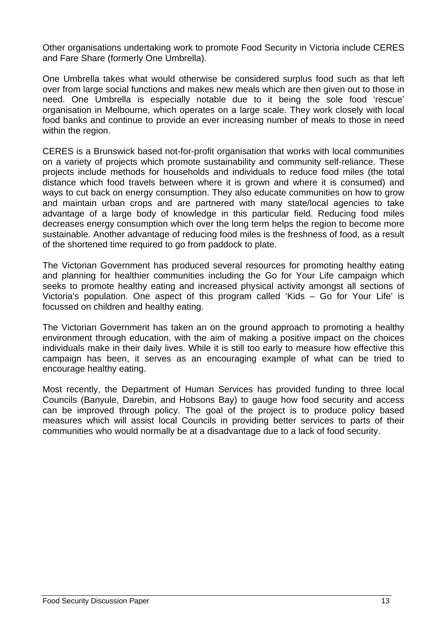Other organisations undertaking work to promote Food Security in Victoria include CERES and Fare Share (formerly One Umbrella).

One Umbrella takes what would otherwise be considered surplus food such as that left over from large social functions and makes new meals which are then given out to those in need. One Umbrella is especially notable due to it being the sole food 'rescue' organisation in Melbourne, which operates on a large scale. They work closely with local food banks and continue to provide an ever increasing number of meals to those in need within the region.

CERES is a Brunswick based not-for-profit organisation that works with local communities on a variety of projects which promote sustainability and community self-reliance. These projects include methods for households and individuals to reduce food miles (the total distance which food travels between where it is grown and where it is consumed) and ways to cut back on energy consumption. They also educate communities on how to grow and maintain urban crops and are partnered with many state/local agencies to take advantage of a large body of knowledge in this particular field. Reducing food miles decreases energy consumption which over the long term helps the region to become more sustainable. Another advantage of reducing food miles is the freshness of food, as a result of the shortened time required to go from paddock to plate.

The Victorian Government has produced several resources for promoting healthy eating and planning for healthier communities including the Go for Your Life campaign which seeks to promote healthy eating and increased physical activity amongst all sections of Victoria's population. One aspect of this program called 'Kids – Go for Your Life' is focussed on children and healthy eating.

The Victorian Government has taken an on the ground approach to promoting a healthy environment through education, with the aim of making a positive impact on the choices individuals make in their daily lives. While it is still too early to measure how effective this campaign has been, it serves as an encouraging example of what can be tried to encourage healthy eating.

Most recently, the Department of Human Services has provided funding to three local Councils (Banyule, Darebin, and Hobsons Bay) to gauge how food security and access can be improved through policy. The goal of the project is to produce policy based measures which will assist local Councils in providing better services to parts of their communities who would normally be at a disadvantage due to a lack of food security.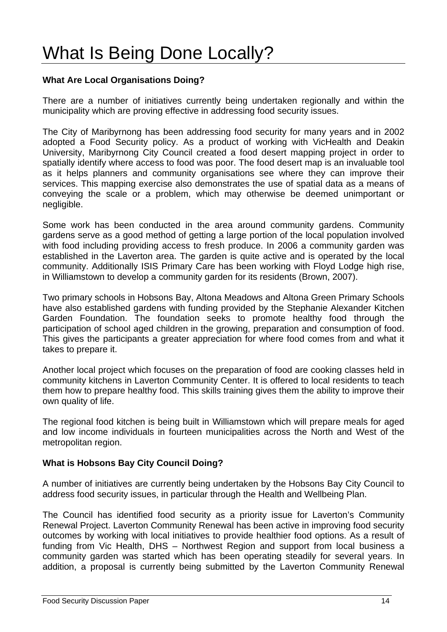#### **What Are Local Organisations Doing?**

There are a number of initiatives currently being undertaken regionally and within the municipality which are proving effective in addressing food security issues.

The City of Maribyrnong has been addressing food security for many years and in 2002 adopted a Food Security policy. As a product of working with VicHealth and Deakin University, Maribyrnong City Council created a food desert mapping project in order to spatially identify where access to food was poor. The food desert map is an invaluable tool as it helps planners and community organisations see where they can improve their services. This mapping exercise also demonstrates the use of spatial data as a means of conveying the scale or a problem, which may otherwise be deemed unimportant or negligible.

Some work has been conducted in the area around community gardens. Community gardens serve as a good method of getting a large portion of the local population involved with food including providing access to fresh produce. In 2006 a community garden was established in the Laverton area. The garden is quite active and is operated by the local community. Additionally ISIS Primary Care has been working with Floyd Lodge high rise, in Williamstown to develop a community garden for its residents (Brown, 2007).

Two primary schools in Hobsons Bay, Altona Meadows and Altona Green Primary Schools have also established gardens with funding provided by the Stephanie Alexander Kitchen Garden Foundation. The foundation seeks to promote healthy food through the participation of school aged children in the growing, preparation and consumption of food. This gives the participants a greater appreciation for where food comes from and what it takes to prepare it.

Another local project which focuses on the preparation of food are cooking classes held in community kitchens in Laverton Community Center. It is offered to local residents to teach them how to prepare healthy food. This skills training gives them the ability to improve their own quality of life.

The regional food kitchen is being built in Williamstown which will prepare meals for aged and low income individuals in fourteen municipalities across the North and West of the metropolitan region.

#### **What is Hobsons Bay City Council Doing?**

A number of initiatives are currently being undertaken by the Hobsons Bay City Council to address food security issues, in particular through the Health and Wellbeing Plan.

The Council has identified food security as a priority issue for Laverton's Community Renewal Project. Laverton Community Renewal has been active in improving food security outcomes by working with local initiatives to provide healthier food options. As a result of funding from Vic Health, DHS – Northwest Region and support from local business a community garden was started which has been operating steadily for several years. In addition, a proposal is currently being submitted by the Laverton Community Renewal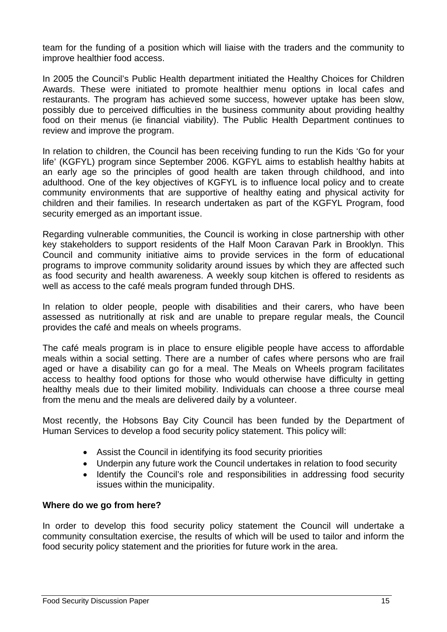team for the funding of a position which will liaise with the traders and the community to improve healthier food access.

In 2005 the Council's Public Health department initiated the Healthy Choices for Children Awards. These were initiated to promote healthier menu options in local cafes and restaurants. The program has achieved some success, however uptake has been slow, possibly due to perceived difficulties in the business community about providing healthy food on their menus (ie financial viability). The Public Health Department continues to review and improve the program.

In relation to children, the Council has been receiving funding to run the Kids 'Go for your life' (KGFYL) program since September 2006. KGFYL aims to establish healthy habits at an early age so the principles of good health are taken through childhood, and into adulthood. One of the key objectives of KGFYL is to influence local policy and to create community environments that are supportive of healthy eating and physical activity for children and their families. In research undertaken as part of the KGFYL Program, food security emerged as an important issue.

Regarding vulnerable communities, the Council is working in close partnership with other key stakeholders to support residents of the Half Moon Caravan Park in Brooklyn. This Council and community initiative aims to provide services in the form of educational programs to improve community solidarity around issues by which they are affected such as food security and health awareness. A weekly soup kitchen is offered to residents as well as access to the café meals program funded through DHS.

In relation to older people, people with disabilities and their carers, who have been assessed as nutritionally at risk and are unable to prepare regular meals, the Council provides the café and meals on wheels programs.

The café meals program is in place to ensure eligible people have access to affordable meals within a social setting. There are a number of cafes where persons who are frail aged or have a disability can go for a meal. The Meals on Wheels program facilitates access to healthy food options for those who would otherwise have difficulty in getting healthy meals due to their limited mobility. Individuals can choose a three course meal from the menu and the meals are delivered daily by a volunteer.

Most recently, the Hobsons Bay City Council has been funded by the Department of Human Services to develop a food security policy statement. This policy will:

- Assist the Council in identifying its food security priorities
- Underpin any future work the Council undertakes in relation to food security
- Identify the Council's role and responsibilities in addressing food security issues within the municipality.

#### **Where do we go from here?**

In order to develop this food security policy statement the Council will undertake a community consultation exercise, the results of which will be used to tailor and inform the food security policy statement and the priorities for future work in the area.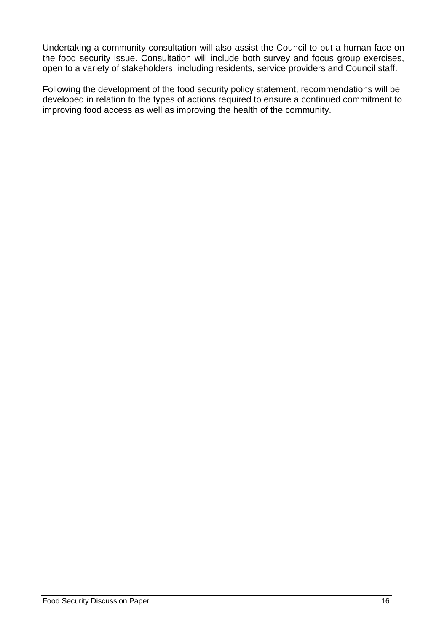Undertaking a community consultation will also assist the Council to put a human face on the food security issue. Consultation will include both survey and focus group exercises, open to a variety of stakeholders, including residents, service providers and Council staff.

Following the development of the food security policy statement, recommendations will be developed in relation to the types of actions required to ensure a continued commitment to improving food access as well as improving the health of the community.